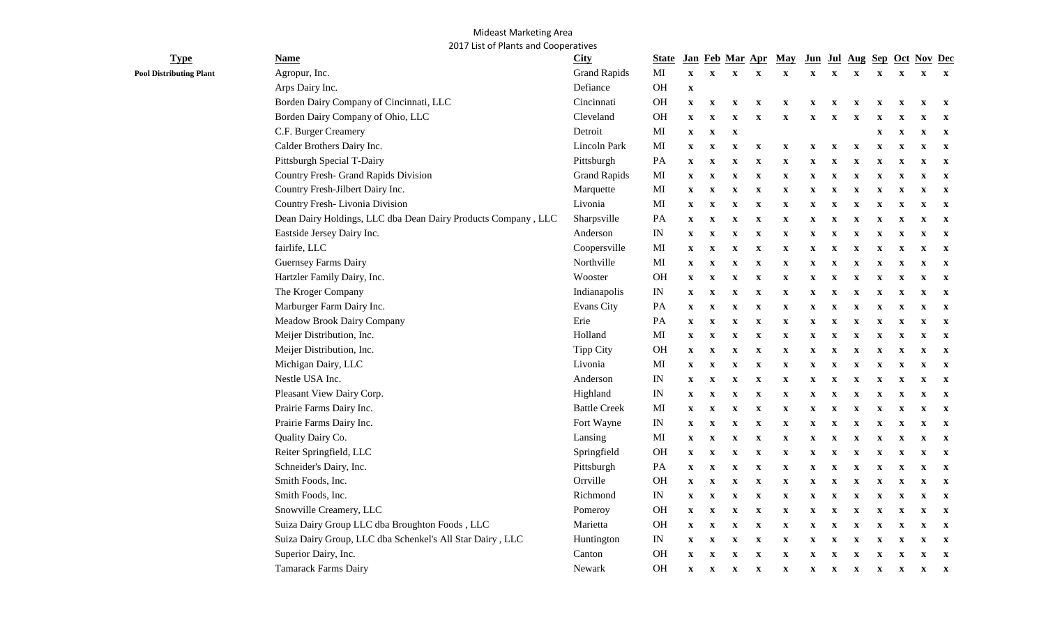## Mideast Marketing Area 2017 List of Plants and Cooperatives

| <b>Type</b>                    | <b>Name</b>                                                   | <b>City</b>         | <b>State</b>             |                           |                           |                           |                           | Jan Feb Mar Apr May       |                           |                           |                           |                           |                           | Jun Jul Aug Sep Oct Nov Dec |              |
|--------------------------------|---------------------------------------------------------------|---------------------|--------------------------|---------------------------|---------------------------|---------------------------|---------------------------|---------------------------|---------------------------|---------------------------|---------------------------|---------------------------|---------------------------|-----------------------------|--------------|
| <b>Pool Distributing Plant</b> | Agropur, Inc.                                                 | <b>Grand Rapids</b> | MI                       | $\boldsymbol{\mathrm{X}}$ | $\mathbf X$               | $\mathbf X$               | $\mathbf{X}$              | $\mathbf X$               | $\mathbf X$               | $\mathbf X$               | $\mathbf X$               | $\mathbf x$               | $\mathbf{x}$              | $\mathbf X$                 | $\mathbf{X}$ |
|                                | Arps Dairy Inc.                                               | Defiance            | OH                       | $\mathbf X$               |                           |                           |                           |                           |                           |                           |                           |                           |                           |                             |              |
|                                | Borden Dairy Company of Cincinnati, LLC                       | Cincinnati          | <b>OH</b>                | $\mathbf X$               | $\mathbf X$               | $\boldsymbol{\mathrm{X}}$ | X                         | $\mathbf x$               | $\boldsymbol{\mathrm{X}}$ | X                         | X                         | X                         | $\mathbf{x}$              | $\mathbf X$                 | $\mathbf{x}$ |
|                                | Borden Dairy Company of Ohio, LLC                             | Cleveland           | OH                       | $\boldsymbol{\mathrm{X}}$ | $\mathbf X$               | X                         | $\mathbf x$               | $\mathbf x$               | X                         | X                         | X                         |                           |                           | X                           | $\mathbf{x}$ |
|                                | C.F. Burger Creamery                                          | Detroit             | MI                       | $\boldsymbol{\mathrm{X}}$ | $\mathbf X$               | $\mathbf x$               |                           |                           |                           |                           |                           | X                         | X                         | X                           | $\mathbf{X}$ |
|                                | Calder Brothers Dairy Inc.                                    | Lincoln Park        | MI                       | $\mathbf{x}$              | $\mathbf{X}$              | $\boldsymbol{\mathrm{X}}$ | $\boldsymbol{\mathrm{X}}$ | $\mathbf{x}$              | $\mathbf{x}$              | $\boldsymbol{\mathrm{X}}$ | $\boldsymbol{\mathrm{X}}$ | $\mathbf{x}$              | $\mathbf x$               | $\mathbf{x}$                | $\mathbf{X}$ |
|                                | Pittsburgh Special T-Dairy                                    | Pittsburgh          | PA                       | $\mathbf{x}$              | $\mathbf{x}$              | $\boldsymbol{\mathrm{X}}$ | $\boldsymbol{\mathrm{X}}$ | $\boldsymbol{\mathrm{x}}$ | $\mathbf x$               | $\mathbf x$               | $\boldsymbol{\mathrm{X}}$ | X                         | $\boldsymbol{\mathrm{x}}$ | $\mathbf x$                 | $\mathbf{x}$ |
|                                | Country Fresh- Grand Rapids Division                          | <b>Grand Rapids</b> | MI                       | $\mathbf{x}$              | $\boldsymbol{\mathrm{X}}$ | $\mathbf X$               | $\mathbf X$               | $\mathbf X$               | $\mathbf{x}$              | X                         | X                         | X                         | $\mathbf X$               | $\mathbf X$                 | $\mathbf{x}$ |
|                                | Country Fresh-Jilbert Dairy Inc.                              | Marquette           | MI                       | $\mathbf{X}$              | $\mathbf{x}$              | $\mathbf x$               | $\mathbf X$               | $\mathbf{x}$              | $\mathbf x$               | $\boldsymbol{\mathrm{X}}$ | $\boldsymbol{\mathrm{X}}$ | $\boldsymbol{\mathrm{X}}$ | $\mathbf x$               | $\mathbf X$                 | $\mathbf{X}$ |
|                                | Country Fresh-Livonia Division                                | Livonia             | MI                       | $\mathbf{x}$              | $\mathbf x$               | $\boldsymbol{\mathrm{X}}$ | $\boldsymbol{\mathrm{X}}$ | $\boldsymbol{\mathrm{X}}$ | $\boldsymbol{\mathrm{X}}$ | $\boldsymbol{\mathrm{X}}$ | $\boldsymbol{\mathrm{X}}$ | $\boldsymbol{\mathrm{X}}$ | $\mathbf x$               | $\mathbf{x}$                | $\mathbf{x}$ |
|                                | Dean Dairy Holdings, LLC dba Dean Dairy Products Company, LLC | Sharpsville         | PA                       | $\mathbf X$               | $\mathbf X$               | $\mathbf X$               | $\mathbf X$               | $\mathbf{x}$              | $\mathbf x$               | $\boldsymbol{\mathrm{X}}$ | $\boldsymbol{\mathrm{X}}$ | $\mathbf x$               | $\mathbf x$               | $\mathbf X$                 | $\mathbf{x}$ |
|                                | Eastside Jersey Dairy Inc.                                    | Anderson            | IN                       | $\mathbf{x}$              | $\mathbf{x}$              | $\boldsymbol{\mathrm{X}}$ | $\mathbf{x}$              | $\boldsymbol{\mathrm{x}}$ | $\mathbf x$               | $\boldsymbol{\mathrm{X}}$ | $\boldsymbol{\mathrm{X}}$ | $\mathbf x$               | $\mathbf{x}$              | $\mathbf{x}$                | $\mathbf{X}$ |
|                                | fairlife, LLC                                                 | Coopersville        | MI                       | $\boldsymbol{\mathrm{X}}$ | $\mathbf X$               | $\boldsymbol{\mathrm{X}}$ | $\mathbf X$               | $\boldsymbol{\mathrm{X}}$ | $\boldsymbol{\mathrm{X}}$ | X                         | X                         | X                         | $\mathbf{x}$              | $\boldsymbol{\mathrm{X}}$   | $\mathbf{X}$ |
|                                | <b>Guernsey Farms Dairy</b>                                   | Northville          | MI                       | $\mathbf{x}$              | $\mathbf X$               | $\mathbf X$               | $\mathbf X$               | $\boldsymbol{\mathrm{X}}$ | $\boldsymbol{\mathrm{X}}$ | $\boldsymbol{\mathrm{X}}$ | $\mathbf x$               | $\boldsymbol{\mathrm{X}}$ | $\boldsymbol{\mathrm{x}}$ | $\mathbf x$                 | $\mathbf{X}$ |
|                                | Hartzler Family Dairy, Inc.                                   | Wooster             | <b>OH</b>                | $\boldsymbol{\mathrm{X}}$ | $\boldsymbol{\mathrm{X}}$ | $\mathbf X$               | $\mathbf x$               | $\mathbf X$               | $\boldsymbol{\mathrm{X}}$ | $\boldsymbol{\mathrm{X}}$ | $\mathbf x$               | $\boldsymbol{\mathrm{X}}$ | $\boldsymbol{\mathrm{x}}$ | $\mathbf x$                 | $\mathbf{x}$ |
|                                | The Kroger Company                                            | Indianapolis        | $\ensuremath{\text{IN}}$ | $\mathbf X$               | $\boldsymbol{\mathrm{X}}$ | $\mathbf X$               | $\mathbf X$               | $\boldsymbol{\mathrm{X}}$ | $\mathbf X$               | X                         | X                         | X                         | $\boldsymbol{\mathrm{x}}$ | $\mathbf x$                 | $\mathbf{x}$ |
|                                | Marburger Farm Dairy Inc.                                     | <b>Evans City</b>   | PA                       | $\mathbf X$               | $\mathbf X$               | $\boldsymbol{\mathrm{X}}$ | $\mathbf X$               | $\mathbf X$               | $\mathbf X$               | $\boldsymbol{\mathrm{X}}$ | $\mathbf x$               | $\boldsymbol{\mathrm{X}}$ | $\boldsymbol{\mathrm{X}}$ | $\mathbf X$                 | $\mathbf{X}$ |
|                                | Meadow Brook Dairy Company                                    | Erie                | PA                       | $\mathbf{x}$              | $\boldsymbol{\mathrm{X}}$ | $\boldsymbol{\mathrm{X}}$ | $\mathbf{x}$              | $\mathbf{x}$              | $\mathbf{x}$              | $\boldsymbol{\mathrm{X}}$ | $\mathbf x$               | X                         | $\mathbf{x}$              | $\mathbf{x}$                | $\mathbf{x}$ |
|                                | Meijer Distribution, Inc.                                     | Holland             | MI                       | $\boldsymbol{\mathrm{X}}$ | $\mathbf x$               | $\boldsymbol{\mathrm{X}}$ | $\boldsymbol{\mathrm{X}}$ | $\mathbf X$               | $\boldsymbol{\mathrm{X}}$ | $\boldsymbol{\mathrm{X}}$ | $\mathbf x$               | X                         | $\mathbf x$               | $\mathbf{x}$                | $\mathbf{x}$ |
|                                | Meijer Distribution, Inc.                                     | <b>Tipp City</b>    | <b>OH</b>                | $\mathbf{x}$              | $\mathbf x$               | $\boldsymbol{\mathrm{X}}$ | $\mathbf X$               | $\boldsymbol{\mathrm{X}}$ | $\boldsymbol{\mathrm{X}}$ | $\boldsymbol{\mathrm{X}}$ | $\boldsymbol{\mathrm{X}}$ | $\boldsymbol{\mathrm{X}}$ | $\boldsymbol{\mathrm{X}}$ | $\mathbf{x}$                | $\mathbf{x}$ |
|                                | Michigan Dairy, LLC                                           | Livonia             | MI                       | $\mathbf{x}$              | $\mathbf X$               | $\boldsymbol{\mathrm{X}}$ | $\boldsymbol{\mathrm{X}}$ | $\boldsymbol{\mathrm{X}}$ | $\boldsymbol{\mathrm{X}}$ | $\boldsymbol{\mathrm{X}}$ | $\boldsymbol{\mathrm{X}}$ | $\boldsymbol{\mathrm{X}}$ | $\mathbf x$               | $\mathbf{x}$                | $\mathbf{x}$ |
|                                | Nestle USA Inc.                                               | Anderson            | $\ensuremath{\text{IN}}$ | $\mathbf X$               | $\mathbf X$               | $\mathbf X$               | $\mathbf X$               | $\mathbf{x}$              | $\mathbf x$               | $\boldsymbol{\mathrm{X}}$ | $\boldsymbol{\mathrm{X}}$ | $\mathbf x$               | $\mathbf x$               | $\mathbf{x}$                | $\mathbf{X}$ |
|                                | Pleasant View Dairy Corp.                                     | Highland            | $\ensuremath{\text{IN}}$ | $\mathbf{x}$              | $\mathbf x$               | $\mathbf x$               | $\mathbf{x}$              | $\mathbf{x}$              | $\mathbf{x}$              | $\mathbf x$               | $\boldsymbol{\mathrm{X}}$ | $\mathbf{x}$              | $\mathbf x$               | $\mathbf{x}$                | $\mathbf{x}$ |
|                                | Prairie Farms Dairy Inc.                                      | <b>Battle Creek</b> | MI                       | $\mathbf{x}$              | $\mathbf x$               | $\boldsymbol{\mathrm{X}}$ | $\mathbf{x}$              | $\mathbf{x}$              | $\mathbf{x}$              | X                         | X                         | $\mathbf{x}$              | $\mathbf x$               | $\mathbf{x}$                | $\mathbf{X}$ |
|                                | Prairie Farms Dairy Inc.                                      | Fort Wayne          | $\ensuremath{\text{IN}}$ | $\mathbf{x}$              | $\mathbf{x}$              | $\boldsymbol{\mathrm{X}}$ | $\mathbf X$               | $\mathbf{x}$              | $\mathbf x$               | $\boldsymbol{\mathrm{X}}$ | $\boldsymbol{\mathrm{X}}$ | $\mathbf x$               | $\mathbf{x}$              | $\mathbf{x}$                | $\mathbf{X}$ |
|                                | Quality Dairy Co.                                             | Lansing             | MI                       | $\mathbf{x}$              | $\mathbf{x}$              | $\mathbf X$               | $\mathbf{X}$              | $\mathbf x$               | $\mathbf X$               | $\boldsymbol{\mathrm{X}}$ | $\mathbf x$               | $\mathbf x$               | $\boldsymbol{\mathrm{x}}$ | $\mathbf{X}$                | $\mathbf{x}$ |
|                                | Reiter Springfield, LLC                                       | Springfield         | <b>OH</b>                | $\mathbf x$               | $\boldsymbol{\mathrm{X}}$ | $\boldsymbol{\mathrm{X}}$ | $\mathbf x$               | $\mathbf x$               | $\boldsymbol{\mathrm{X}}$ | X                         | $\mathbf x$               | X                         | $\boldsymbol{\mathrm{x}}$ | $\mathbf x$                 | $\mathbf{x}$ |
|                                | Schneider's Dairy, Inc.                                       | Pittsburgh          | PA                       | $\boldsymbol{\mathrm{X}}$ | $\boldsymbol{\mathrm{X}}$ | $\boldsymbol{\mathrm{X}}$ | $\mathbf x$               | $\mathbf X$               | $\boldsymbol{\mathrm{X}}$ | $\boldsymbol{\mathrm{x}}$ | $\boldsymbol{\mathrm{x}}$ | X                         | $\boldsymbol{\mathrm{x}}$ | $\mathbf x$                 | $\mathbf{x}$ |
|                                | Smith Foods, Inc.                                             | Orrville            | OH                       | $\mathbf x$               | $\boldsymbol{\mathrm{X}}$ | $\mathbf X$               | $\mathbf x$               | $\mathbf X$               | $\boldsymbol{\mathrm{X}}$ | X                         | $\mathbf x$               | X                         | $\boldsymbol{\mathrm{x}}$ | $\mathbf x$                 | $\mathbf{X}$ |
|                                | Smith Foods, Inc.                                             | Richmond            | IN                       | $\boldsymbol{\mathrm{X}}$ | $\boldsymbol{\mathrm{X}}$ | $\boldsymbol{\mathrm{X}}$ | $\boldsymbol{\mathrm{X}}$ | $\boldsymbol{\mathrm{X}}$ | $\boldsymbol{\mathrm{X}}$ | X                         | X                         | X                         | $\boldsymbol{\mathrm{x}}$ | $\mathbf x$                 | $\mathbf{x}$ |
|                                | Snowville Creamery, LLC                                       | Pomeroy             | <b>OH</b>                | $\mathbf X$               | $\boldsymbol{\mathrm{X}}$ | $\boldsymbol{\mathrm{X}}$ | $\mathbf x$               | $\boldsymbol{\mathrm{X}}$ | $\boldsymbol{\mathrm{X}}$ | $\boldsymbol{\mathrm{x}}$ | $\mathbf x$               | X                         | $\mathbf x$               | $\mathbf x$                 | $\mathbf{x}$ |
|                                | Suiza Dairy Group LLC dba Broughton Foods, LLC                | Marietta            | <b>OH</b>                | $\mathbf{x}$              | $\mathbf{x}$              | X                         | X                         | $\mathbf{x}$              | $\mathbf{x}$              | X                         | X                         | X                         | $\mathbf{x}$              | $\mathbf{x}$                | $\mathbf{x}$ |
|                                | Suiza Dairy Group, LLC dba Schenkel's All Star Dairy, LLC     | Huntington          | $\ensuremath{\text{IN}}$ | $\mathbf{x}$              | $\mathbf x$               | $\boldsymbol{\mathrm{X}}$ | $\boldsymbol{\mathrm{x}}$ | $\mathbf{x}$              | $\boldsymbol{\mathrm{X}}$ | X                         | X                         | X                         | $\mathbf x$               | $\mathbf{x}$                | $\mathbf{x}$ |
|                                | Superior Dairy, Inc.                                          | Canton              | <b>OH</b>                | $\mathbf x$               | $\mathbf x$               | $\boldsymbol{\mathrm{X}}$ | $\mathbf x$               | $\boldsymbol{\mathrm{X}}$ | $\mathbf x$               | $\boldsymbol{\mathrm{X}}$ | $\mathbf x$               | $\boldsymbol{\mathrm{X}}$ | $\mathbf x$               | $\mathbf{x}$                | $\mathbf{X}$ |
|                                | <b>Tamarack Farms Dairy</b>                                   | Newark              | <b>OH</b>                | $\mathbf X$               | $\mathbf{x}$              | $\mathbf X$               | $\boldsymbol{\mathrm{X}}$ | $\mathbf{x}$              | $\mathbf{x}$              | $\boldsymbol{\mathrm{X}}$ | $\mathbf X$               | $\mathbf{x}$              | $\mathbf{X}$              | $\mathbf{x}$                | $\mathbf{X}$ |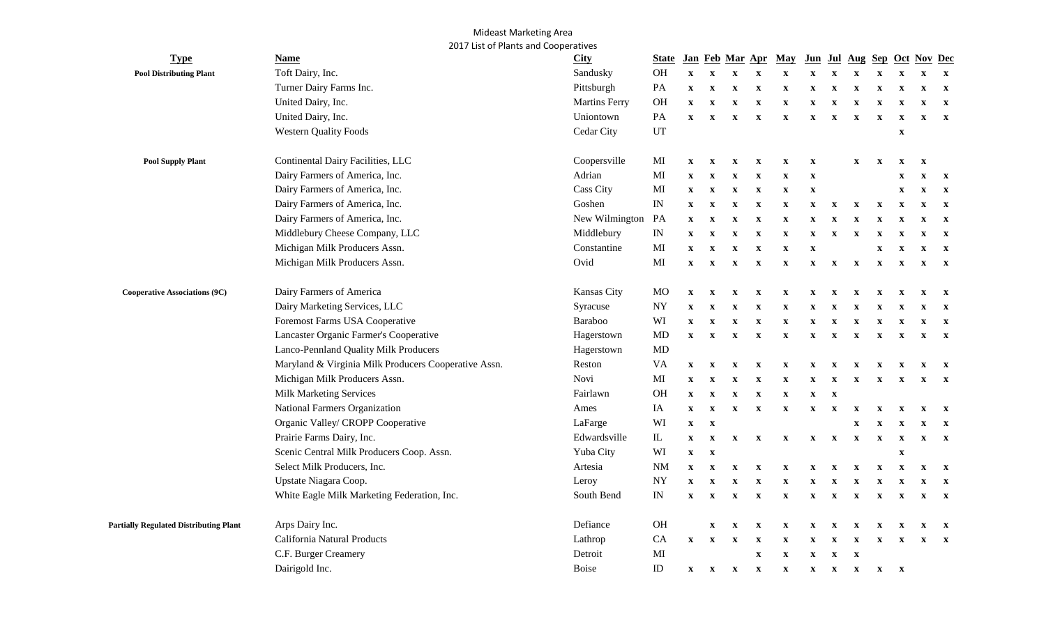## Mideast Marketing Area 2017 List of Plants and Cooperatives

| <b>Type</b>                                   | <b>Name</b>                                          | <b>City</b>          | <b>State</b> |                           |              |                           | Jan Feb Mar Apr           | <b>May</b>                |                           |                           |                           |                           |                           | Jun Jul Aug Sep Oct Nov Dec |              |
|-----------------------------------------------|------------------------------------------------------|----------------------|--------------|---------------------------|--------------|---------------------------|---------------------------|---------------------------|---------------------------|---------------------------|---------------------------|---------------------------|---------------------------|-----------------------------|--------------|
| <b>Pool Distributing Plant</b>                | Toft Dairy, Inc.                                     | Sandusky             | OH           | $\mathbf{X}$              | X            | $\boldsymbol{\mathrm{X}}$ | $\mathbf x$               | $\mathbf X$               | $\mathbf X$               | $\mathbf X$               | $\mathbf X$               | $\mathbf x$               | $\mathbf X$               |                             | $\mathbf{x}$ |
|                                               | Turner Dairy Farms Inc.                              | Pittsburgh           | PA           | $\mathbf{X}$              | $\mathbf X$  | $\mathbf X$               | $\boldsymbol{\mathrm{X}}$ | $\mathbf{x}$              | $\boldsymbol{\mathrm{X}}$ | $\mathbf X$               | $\mathbf X$               | $\mathbf X$               | $\boldsymbol{\mathrm{X}}$ | X                           | $\mathbf{X}$ |
|                                               | United Dairy, Inc.                                   | <b>Martins Ferry</b> | OH           | $\mathbf{x}$              | $\mathbf{x}$ | $\mathbf x$               | $\boldsymbol{\mathrm{X}}$ | $\mathbf{x}$              | $\boldsymbol{\mathrm{X}}$ | $\boldsymbol{\mathrm{X}}$ | $\boldsymbol{\mathrm{X}}$ | $\mathbf X$               | $\mathbf X$               | X                           | $\mathbf{x}$ |
|                                               | United Dairy, Inc.                                   | Uniontown            | PA           | $\mathbf{X}$              | $\mathbf{x}$ | $\mathbf x$               | $\mathbf X$               | $\mathbf{x}$              | $\mathbf X$               | $\mathbf X$               | $\mathbf X$               | $\boldsymbol{\mathrm{X}}$ | $\mathbf x$               | X                           | $\mathbf{x}$ |
|                                               | <b>Western Quality Foods</b>                         | Cedar City           | UT           |                           |              |                           |                           |                           |                           |                           |                           |                           | $\boldsymbol{\mathrm{X}}$ |                             |              |
| <b>Pool Supply Plant</b>                      | Continental Dairy Facilities, LLC                    | Coopersville         | MI           | $\mathbf{X}$              | $\mathbf{X}$ | $\mathbf{x}$              | $\mathbf X$               | $\mathbf{x}$              | $\boldsymbol{\mathrm{X}}$ |                           | $\mathbf x$               | $\mathbf x$               | $\mathbf x$               | X                           |              |
|                                               | Dairy Farmers of America, Inc.                       | Adrian               | MI           | $\mathbf{x}$              | $\mathbf x$  | $\mathbf x$               | $\mathbf X$               | $\mathbf{x}$              | $\mathbf{x}$              |                           |                           |                           | $\mathbf X$               | X                           | $\mathbf{X}$ |
|                                               | Dairy Farmers of America, Inc.                       | <b>Cass City</b>     | MI           | $\mathbf{x}$              | $\mathbf{x}$ | $\boldsymbol{\mathrm{X}}$ | $\boldsymbol{\mathrm{X}}$ | $\mathbf{x}$              | $\mathbf X$               |                           |                           |                           | $\mathbf x$               | $\mathbf x$                 | $\mathbf{X}$ |
|                                               | Dairy Farmers of America, Inc.                       | Goshen               | IN           | $\mathbf{X}$              | $\mathbf{x}$ | $\mathbf X$               | $\mathbf X$               | $\mathbf{x}$              | $\boldsymbol{\mathrm{X}}$ | $\mathbf X$               | $\mathbf X$               | $\boldsymbol{\mathrm{X}}$ | $\mathbf{x}$              | $\mathbf X$                 | $\mathbf{x}$ |
|                                               | Dairy Farmers of America, Inc.                       | New Wilmington       | PA           | $\mathbf{X}$              | $\mathbf{x}$ | $\mathbf x$               | X                         | $\mathbf{x}$              | $\mathbf X$               | $\mathbf{x}$              | $\mathbf{x}$              | $\mathbf x$               | $\mathbf x$               | X                           | $\mathbf{x}$ |
|                                               | Middlebury Cheese Company, LLC                       | Middlebury           | IN           | $\boldsymbol{\mathrm{X}}$ | $\mathbf x$  | $\mathbf x$               | $\boldsymbol{\mathrm{X}}$ | $\mathbf{x}$              | $\boldsymbol{\mathrm{X}}$ | $\boldsymbol{\mathrm{X}}$ | $\boldsymbol{\mathrm{X}}$ | $\boldsymbol{\mathrm{X}}$ | $\mathbf x$               | $\mathbf x$                 | $\mathbf{X}$ |
|                                               | Michigan Milk Producers Assn.                        | Constantine          | MI           | $\mathbf{x}$              | $\mathbf x$  | $\boldsymbol{\mathrm{X}}$ | $\mathbf X$               | $\mathbf{x}$              | $\boldsymbol{\mathrm{X}}$ |                           |                           | $\boldsymbol{\mathrm{X}}$ | $\mathbf x$               | X                           | $\mathbf{x}$ |
|                                               | Michigan Milk Producers Assn.                        | Ovid                 | MI           | $\mathbf X$               | $\mathbf x$  | $\mathbf x$               | $\boldsymbol{\mathrm{X}}$ | $\mathbf{x}$              | $\boldsymbol{\mathrm{X}}$ | $\mathbf{x}$              | $\mathbf X$               | $\boldsymbol{\mathrm{X}}$ | $\mathbf{x}$              | $\mathbf{x}$                | $\mathbf{x}$ |
| <b>Cooperative Associations (9C)</b>          | Dairy Farmers of America                             | Kansas City          | <b>MO</b>    | $\mathbf{x}$              | $\mathbf{x}$ | $\mathbf x$               | $\boldsymbol{\mathrm{X}}$ | $\boldsymbol{\mathrm{x}}$ | $\mathbf X$               | $\boldsymbol{\mathrm{X}}$ | $\boldsymbol{\mathrm{X}}$ | $\boldsymbol{\mathrm{X}}$ | $\boldsymbol{\mathrm{X}}$ | $\boldsymbol{\mathrm{X}}$   | $\mathbf{x}$ |
|                                               | Dairy Marketing Services, LLC                        | Syracuse             | NY           | $\mathbf{x}$              | $\mathbf{x}$ | $\mathbf x$               | $\boldsymbol{\mathrm{X}}$ | $\mathbf{x}$              | $\mathbf x$               | $\boldsymbol{\mathrm{X}}$ | $\mathbf X$               | $\boldsymbol{\mathrm{X}}$ | $\mathbf x$               | X                           | $\mathbf{x}$ |
|                                               | Foremost Farms USA Cooperative                       | Baraboo              | WI           | $\mathbf{X}$              | $\mathbf{X}$ | $\mathbf{x}$              | $\mathbf X$               | $\mathbf{x}$              | $\mathbf{x}$              | $\mathbf{x}$              | $\mathbf X$               | $\boldsymbol{\mathrm{X}}$ | $\mathbf{x}$              | $\mathbf x$                 | $\mathbf{x}$ |
|                                               | Lancaster Organic Farmer's Cooperative               | Hagerstown           | MD           | $\mathbf{X}$              | $\mathbf{x}$ | $\mathbf{x}$              | $\mathbf{x}$              | $\mathbf{x}$              | $\mathbf{x}$              | $\mathbf{x}$              | $\boldsymbol{\mathrm{X}}$ | $\boldsymbol{\mathrm{X}}$ | $\mathbf{x}$              | $\mathbf{X}$                | $\mathbf{X}$ |
|                                               | Lanco-Pennland Quality Milk Producers                | Hagerstown           | <b>MD</b>    |                           |              |                           |                           |                           |                           |                           |                           |                           |                           |                             |              |
|                                               | Maryland & Virginia Milk Producers Cooperative Assn. | Reston               | <b>VA</b>    | $\mathbf{X}$              | $\mathbf{X}$ | $\mathbf{X}$              | $\mathbf{x}$              | $\mathbf{x}$              | $\mathbf{X}$              | $\mathbf{X}$              | $\mathbf{x}$              | $\mathbf{x}$              | $\mathbf{x}$              | $\mathbf{x}$                | $\mathbf{x}$ |
|                                               | Michigan Milk Producers Assn.                        | Novi                 | MI           | $\mathbf{x}$              | $\mathbf{x}$ | $\mathbf X$               | $\mathbf x$               | $\mathbf{x}$              | $\mathbf{x}$              | $\mathbf{x}$              | $\boldsymbol{\mathrm{X}}$ | $\mathbf{x}$              | $\mathbf{x}$              | $\mathbf{x}$                | $\mathbf{X}$ |
|                                               | <b>Milk Marketing Services</b>                       | Fairlawn             | OH           | $\mathbf X$               | $\mathbf{x}$ | $\mathbf{x}$              | $\mathbf X$               | $\mathbf{x}$              | $\mathbf{x}$              | $\mathbf{x}$              |                           |                           |                           |                             |              |
|                                               | National Farmers Organization                        | Ames                 | IA           | $\mathbf{X}$              | $\mathbf{x}$ | $\mathbf x$               | $\mathbf X$               | $\mathbf{x}$              | $\mathbf X$               | $\mathbf{x}$              | $\mathbf{x}$              | $\mathbf x$               | $\mathbf{x}$              | X                           | $\mathbf{x}$ |
|                                               | Organic Valley/ CROPP Cooperative                    | LaFarge              | WI           | $\boldsymbol{\mathrm{X}}$ | $\mathbf{x}$ |                           |                           |                           |                           |                           | $\boldsymbol{\mathrm{X}}$ | $\mathbf{x}$              | $\boldsymbol{\mathrm{X}}$ | $\mathbf X$                 | $\mathbf{x}$ |
|                                               | Prairie Farms Dairy, Inc.                            | Edwardsville         | ${\rm IL}$   | $\mathbf X$               | $\mathbf X$  | $\mathbf X$               | $\mathbf X$               | $\mathbf{x}$              | $\boldsymbol{\mathrm{X}}$ | $\mathbf{X}$              | $\boldsymbol{\mathrm{X}}$ | $\boldsymbol{\mathrm{X}}$ | $\mathbf X$               | $\boldsymbol{\mathrm{X}}$   | $\mathbf{x}$ |
|                                               | Scenic Central Milk Producers Coop. Assn.            | Yuba City            | WI           | $\mathbf{X}$              | $\mathbf X$  |                           |                           |                           |                           |                           |                           |                           | $\boldsymbol{\mathrm{X}}$ |                             |              |
|                                               | Select Milk Producers, Inc.                          | Artesia              | <b>NM</b>    | $\mathbf{X}$              | $\mathbf x$  | $\mathbf x$               | $\mathbf X$               | $\mathbf{x}$              | X                         | $\mathbf{x}$              | $\mathbf{x}$              | $\boldsymbol{\mathrm{X}}$ | $\mathbf x$               | $\mathbf x$                 | $\mathbf{x}$ |
|                                               | Upstate Niagara Coop.                                | Leroy                | <b>NY</b>    | $\boldsymbol{\mathrm{X}}$ | $\mathbf x$  | $\mathbf x$               | $\boldsymbol{\mathrm{X}}$ | $\mathbf{x}$              | $\boldsymbol{\mathrm{X}}$ | $\mathbf x$               | $\mathbf X$               | $\boldsymbol{\mathrm{X}}$ | $\mathbf x$               | $\boldsymbol{\mathrm{X}}$   | $\mathbf{X}$ |
|                                               | White Eagle Milk Marketing Federation, Inc.          | South Bend           | IN           | $\mathbf{X}$              | $\mathbf{X}$ | $\mathbf{x}$              | $\boldsymbol{\mathrm{X}}$ | $\mathbf{x}$              | $\boldsymbol{\mathrm{X}}$ | $\boldsymbol{\mathrm{X}}$ | $\mathbf X$               | $\boldsymbol{\mathrm{X}}$ | $\mathbf{x}$              | $\mathbf{x}$                | $\mathbf{X}$ |
| <b>Partially Regulated Distributing Plant</b> | Arps Dairy Inc.                                      | Defiance             | <b>OH</b>    |                           | $\mathbf X$  | $\mathbf x$               | $\mathbf X$               | $\mathbf{x}$              | $\mathbf x$               | $\mathbf{x}$              | $\mathbf{x}$              | $\mathbf x$               | X                         | X                           | $\mathbf{x}$ |
|                                               | California Natural Products                          | Lathrop              | CA           | $\mathbf{X}$              | $\mathbf{x}$ | $\boldsymbol{\mathrm{x}}$ | $\boldsymbol{\mathrm{X}}$ | $\mathbf{x}$              | $\mathbf x$               | $\mathbf x$               | $\boldsymbol{\mathrm{X}}$ | $\mathbf x$               | $\mathbf{x}$              | $\mathbf{x}$                | $\mathbf{x}$ |
|                                               | C.F. Burger Creamery                                 | Detroit              | MI           |                           |              |                           | $\mathbf X$               | $\mathbf{x}$              | $\mathbf{x}$              | $\mathbf{x}$              | $\boldsymbol{\mathrm{X}}$ |                           |                           |                             |              |
|                                               | Dairigold Inc.                                       | Boise                | $\rm ID$     | $\mathbf{X}$              | $\mathbf{x}$ | $\mathbf{x}$              | $\mathbf{x}$              | $\mathbf{x}$              | $\mathbf{x}$              | $\mathbf{X}$              | $\mathbf{x}$              | $\mathbf{x}$              | $\boldsymbol{\mathrm{X}}$ |                             |              |